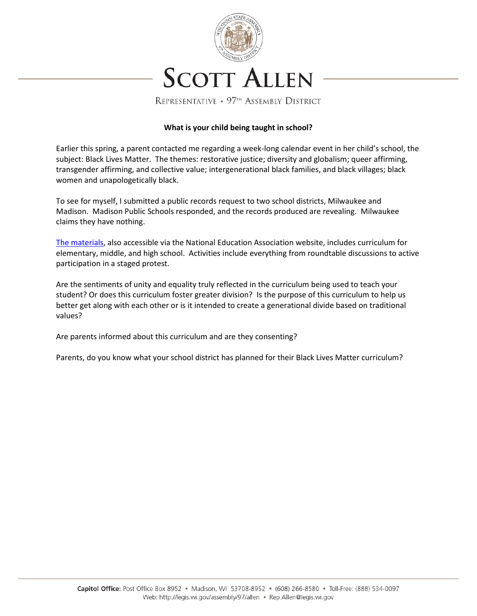

## **What is your child being taught in school?**

Earlier this spring, a parent contacted me regarding a week-long calendar event in her child's school, the subject: Black Lives Matter. The themes: restorative justice; diversity and globalism; queer affirming, transgender affirming, and collective value; intergenerational black families, and black villages; black women and unapologetically black.

To see for myself, I submitted a public records request to two school districts, Milwaukee and Madison. Madison Public Schools responded, and the records produced are revealing. Milwaukee claims they have nothing.

[The materials,](https://drive.google.com/drive/u/0/folders/1LGslwJwhXvpVnDgw0uC-n794l6EGzpuH) also accessible via the National Education Association website, includes curriculum for elementary, middle, and high school. Activities include everything from roundtable discussions to active participation in a staged protest.

Are the sentiments of unity and equality truly reflected in the curriculum being used to teach your student? Or does this curriculum foster greater division? Is the purpose of this curriculum to help us better get along with each other or is it intended to create a generational divide based on traditional values?

Are parents informed about this curriculum and are they consenting?

Parents, do you know what your school district has planned for their Black Lives Matter curriculum?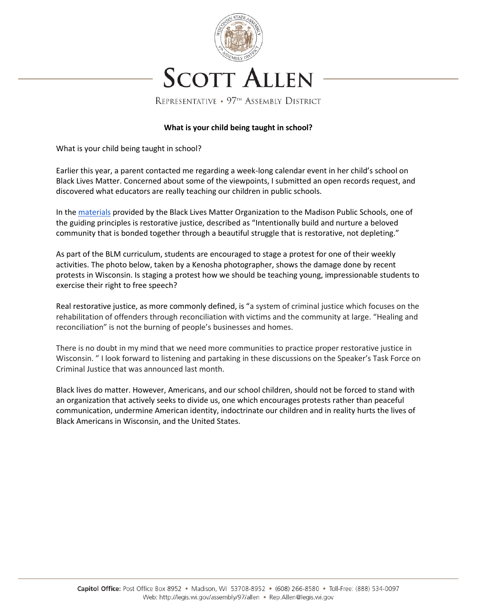

## **What is your child being taught in school?**

What is your child being taught in school?

Earlier this year, a parent contacted me regarding a week-long calendar event in her child's school on Black Lives Matter. Concerned about some of the viewpoints, I submitted an open records request, and discovered what educators are really teaching our children in public schools.

In th[e materials](https://drive.google.com/drive/u/0/folders/1LGslwJwhXvpVnDgw0uC-n794l6EGzpuH) provided by the Black Lives Matter Organization to the Madison Public Schools, one of the guiding principles is restorative justice, described as "Intentionally build and nurture a beloved community that is bonded together through a beautiful struggle that is restorative, not depleting."

As part of the BLM curriculum, students are encouraged to stage a protest for one of their weekly activities. The photo below, taken by a Kenosha photographer, shows the damage done by recent protests in Wisconsin. Is staging a protest how we should be teaching young, impressionable students to exercise their right to free speech?

Real restorative justice, as more commonly defined, is "a system of criminal justice which focuses on the rehabilitation of offenders through reconciliation with victims and the community at large. "Healing and reconciliation" is not the burning of people's businesses and homes.

There is no doubt in my mind that we need more communities to practice proper restorative justice in Wisconsin. " I look forward to listening and partaking in these discussions on the Speaker's Task Force on Criminal Justice that was announced last month.

Black lives do matter. However, Americans, and our school children, should not be forced to stand with an organization that actively seeks to divide us, one which encourages protests rather than peaceful communication, undermine American identity, indoctrinate our children and in reality hurts the lives of Black Americans in Wisconsin, and the United States.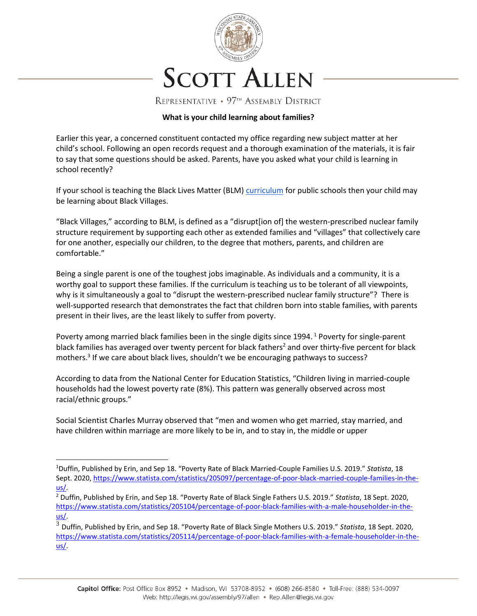

#### **What is your child learning about families?**

Earlier this year, a concerned constituent contacted my office regarding new subject matter at her child's school. Following an open records request and a thorough examination of the materials, it is fair to say that some questions should be asked. Parents, have you asked what your child is learning in school recently?

If your school is teaching the Black Lives Matter (BLM[\) curriculum](https://drive.google.com/drive/u/0/folders/1LGslwJwhXvpVnDgw0uC-n794l6EGzpuH) for public schools then your child may be learning about Black Villages.

"Black Villages," according to BLM, is defined as a "disrupt[ion of] the western-prescribed nuclear family structure requirement by supporting each other as extended families and "villages" that collectively care for one another, especially our children, to the degree that mothers, parents, and children are comfortable."

Being a single parent is one of the toughest jobs imaginable. As individuals and a community, it is a worthy goal to support these families. If the curriculum is teaching us to be tolerant of all viewpoints, why is it simultaneously a goal to "disrupt the western-prescribed nuclear family structure"? There is well-supported research that demonstrates the fact that children born into stable families, with parents present in their lives, are the least likely to suffer from poverty.

Poverty among married black families been in the single digits since 1994.<sup>1</sup> Poverty for single-parent black families has averaged over twenty percent for black fathers<sup>2</sup> and over thirty-five percent for black mothers.<sup>3</sup> If we care about black lives, shouldn't we be encouraging pathways to success?

According to data from the National Center for Education Statistics, "Children living in married-couple households had the lowest poverty rate (8%). This pattern was generally observed across most racial/ethnic groups."

Social Scientist Charles Murray observed that "men and women who get married, stay married, and have children within marriage are more likely to be in, and to stay in, the middle or upper

 $\overline{\phantom{a}}$ 

<sup>1</sup>Duffin, Published by Erin, and Sep 18. "Poverty Rate of Black Married-Couple Families U.S. 2019." *Statista*, 18 Sept. 2020, [https://www.statista.com/statistics/205097/percentage-of-poor-black-married-couple-families-in-the](https://www.statista.com/statistics/205097/percentage-of-poor-black-married-couple-families-in-the-us/)[us/.](https://www.statista.com/statistics/205097/percentage-of-poor-black-married-couple-families-in-the-us/)

<sup>2</sup> Duffin, Published by Erin, and Sep 18. "Poverty Rate of Black Single Fathers U.S. 2019." *Statista*, 18 Sept. 2020, [https://www.statista.com/statistics/205104/percentage-of-poor-black-families-with-a-male-householder-in-the](https://www.statista.com/statistics/205104/percentage-of-poor-black-families-with-a-male-householder-in-the-us/)[us/.](https://www.statista.com/statistics/205104/percentage-of-poor-black-families-with-a-male-householder-in-the-us/)

<sup>3</sup> Duffin, Published by Erin, and Sep 18. "Poverty Rate of Black Single Mothers U.S. 2019." *Statista*, 18 Sept. 2020, [https://www.statista.com/statistics/205114/percentage-of-poor-black-families-with-a-female-householder-in-the](https://www.statista.com/statistics/205114/percentage-of-poor-black-families-with-a-female-householder-in-the-us/)[us/.](https://www.statista.com/statistics/205114/percentage-of-poor-black-families-with-a-female-householder-in-the-us/)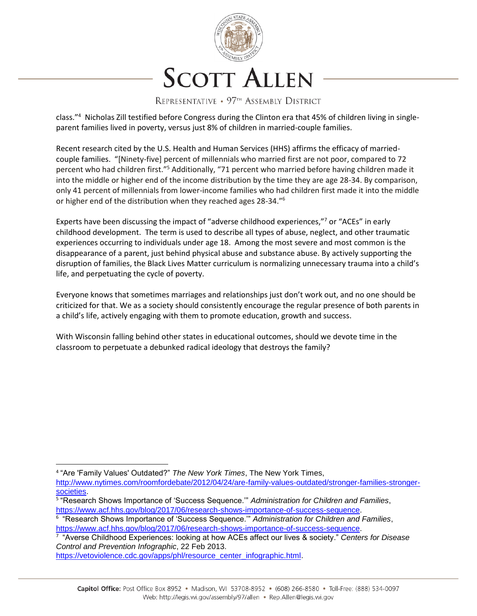

class."<sup>4</sup> Nicholas Zill testified before Congress during the Clinton era that 45% of children living in singleparent families lived in poverty, versus just 8% of children in married-couple families.

Recent research cited by the U.S. Health and Human Services (HHS) affirms the efficacy of marriedcouple families. "[Ninety-five] percent of millennials who married first are not poor, compared to 72 percent who had children first."<sup>5</sup> Additionally, "71 percent who married before having children made it into the middle or higher end of the income distribution by the time they are age 28-34. By comparison, only 41 percent of millennials from lower-income families who had children first made it into the middle or higher end of the distribution when they reached ages 28-34."<sup>6</sup>

Experts have been discussing the impact of "adverse childhood experiences,"<sup>7</sup> or "ACEs" in early childhood development. The term is used to describe all types of abuse, neglect, and other traumatic experiences occurring to individuals under age 18. Among the most severe and most common is the disappearance of a parent, just behind physical abuse and substance abuse. By actively supporting the disruption of families, the Black Lives Matter curriculum is normalizing unnecessary trauma into a child's life, and perpetuating the cycle of poverty.

Everyone knows that sometimes marriages and relationships just don't work out, and no one should be criticized for that. We as a society should consistently encourage the regular presence of both parents in a child's life, actively engaging with them to promote education, growth and success.

With Wisconsin falling behind other states in educational outcomes, should we devote time in the classroom to perpetuate a debunked radical ideology that destroys the family?

l 4 "Are 'Family Values' Outdated?" *The New York Times*, The New York Times,

[http://www.nytimes.com/roomfordebate/2012/04/24/are-family-values-outdated/stronger-families-stronger](http://www.nytimes.com/roomfordebate/2012/04/24/are-family-values-outdated/stronger-families-stronger-societies)[societies.](http://www.nytimes.com/roomfordebate/2012/04/24/are-family-values-outdated/stronger-families-stronger-societies)

<sup>5</sup> "Research Shows Importance of 'Success Sequence.'" *Administration for Children and Families*, [https://www.acf.hhs.gov/blog/2017/06/research-shows-importance-of-success-sequence.](https://www.acf.hhs.gov/blog/2017/06/research-shows-importance-of-success-sequence)

<sup>6</sup> "Research Shows Importance of 'Success Sequence.'" *Administration for Children and Families*, [https://www.acf.hhs.gov/blog/2017/06/research-shows-importance-of-success-sequence.](https://www.acf.hhs.gov/blog/2017/06/research-shows-importance-of-success-sequence)

<sup>7</sup> "Averse Childhood Experiences: looking at how ACEs affect our lives & society." *Centers for Disease Control and Prevention Infographic*, 22 Feb 2013.

[https://vetoviolence.cdc.gov/apps/phl/resource\\_center\\_infographic.html.](https://vetoviolence.cdc.gov/apps/phl/resource_center_infographic.html)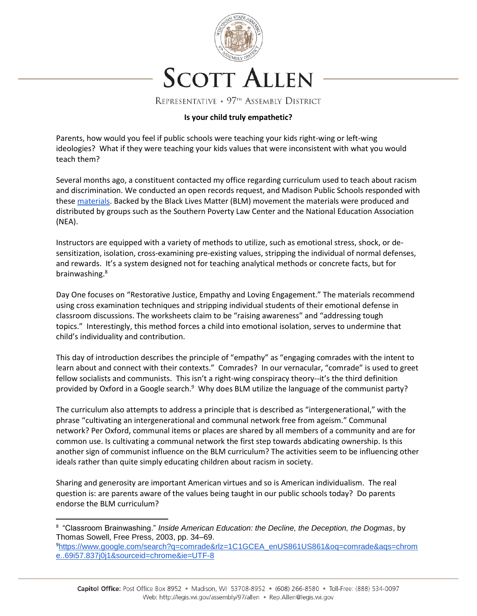

#### **Is your child truly empathetic?**

Parents, how would you feel if public schools were teaching your kids right-wing or left-wing ideologies? What if they were teaching your kids values that were inconsistent with what you would teach them?

Several months ago, a constituent contacted my office regarding curriculum used to teach about racism and discrimination. We conducted an open records request, and Madison Public Schools responded with these [materials.](https://drive.google.com/drive/u/0/folders/1LGslwJwhXvpVnDgw0uC-n794l6EGzpuH) Backed by the Black Lives Matter (BLM) movement the materials were produced and distributed by groups such as the Southern Poverty Law Center and the National Education Association (NEA).

Instructors are equipped with a variety of methods to utilize, such as emotional stress, shock, or desensitization, isolation, cross-examining pre-existing values, stripping the individual of normal defenses, and rewards. It's a system designed not for teaching analytical methods or concrete facts, but for brainwashing.<sup>8</sup>

Day One focuses on "Restorative Justice, Empathy and Loving Engagement." The materials recommend using cross examination techniques and stripping individual students of their emotional defense in classroom discussions. The worksheets claim to be "raising awareness" and "addressing tough topics." Interestingly, this method forces a child into emotional isolation, serves to undermine that child's individuality and contribution.

This day of introduction describes the principle of "empathy" as "engaging comrades with the intent to learn about and connect with their contexts." Comrades? In our vernacular, "comrade" is used to greet fellow socialists and communists. This isn't a right-wing conspiracy theory--it's the third definition provided by Oxford in a Google search.<sup>9</sup> Why does BLM utilize the language of the communist party?

The curriculum also attempts to address a principle that is described as "intergenerational," with the phrase "cultivating an intergenerational and communal network free from ageism." Communal network? Per Oxford, communal items or places are shared by all members of a community and are for common use. Is cultivating a communal network the first step towards abdicating ownership. Is this another sign of communist influence on the BLM curriculum? The activities seem to be influencing other ideals rather than quite simply educating children about racism in society.

Sharing and generosity are important American virtues and so is American individualism. The real question is: are parents aware of the values being taught in our public schools today? Do parents endorse the BLM curriculum?

 $\overline{a}$ 

<sup>8</sup> "Classroom Brainwashing." *Inside American Education: the Decline, the Deception, the Dogmas*, by Thomas Sowell, Free Press, 2003, pp. 34–69.

<sup>9</sup>[https://www.google.com/search?q=comrade&rlz=1C1GCEA\\_enUS861US861&oq=comrade&aqs=chrom](https://www.google.com/search?q=comrade&rlz=1C1GCEA_enUS861US861&oq=comrade&aqs=chrome..69i57.837j0j1&sourceid=chrome&ie=UTF-8) [e..69i57.837j0j1&sourceid=chrome&ie=UTF-8](https://www.google.com/search?q=comrade&rlz=1C1GCEA_enUS861US861&oq=comrade&aqs=chrome..69i57.837j0j1&sourceid=chrome&ie=UTF-8)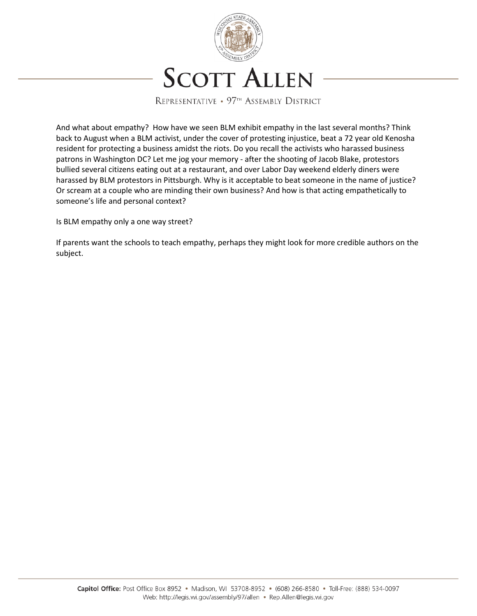

And what about empathy? How have we seen BLM exhibit empathy in the last several months? Think back to August when a BLM activist, under the cover of protesting injustice, beat a 72 year old Kenosha resident for protecting a business amidst the riots. Do you recall the activists who harassed business patrons in Washington DC? Let me jog your memory - after the shooting of Jacob Blake, protestors bullied several citizens eating out at a restaurant, and over Labor Day weekend elderly diners were harassed by BLM protestors in Pittsburgh. Why is it acceptable to beat someone in the name of justice? Or scream at a couple who are minding their own business? And how is that acting empathetically to someone's life and personal context?

Is BLM empathy only a one way street?

If parents want the schools to teach empathy, perhaps they might look for more credible authors on the subject.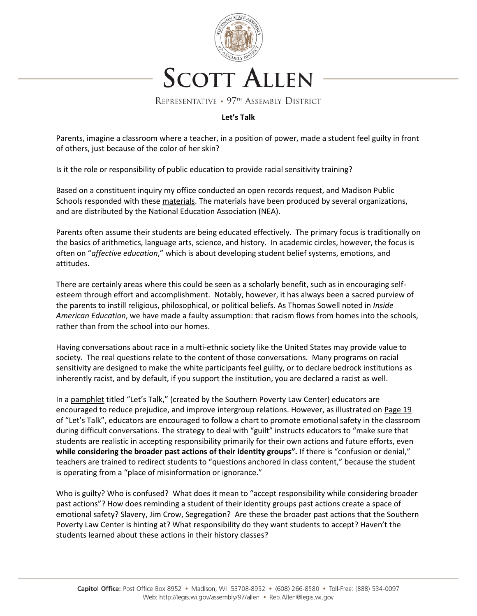

# **Let's Talk**

Parents, imagine a classroom where a teacher, in a position of power, made a student feel guilty in front of others, just because of the color of her skin?

Is it the role or responsibility of public education to provide racial sensitivity training?

Based on a constituent inquiry my office conducted an open records request, and Madison Public Schools responded with these [materials.](https://drive.google.com/drive/u/0/folders/1LGslwJwhXvpVnDgw0uC-n794l6EGzpuH) The materials have been produced by several organizations, and are distributed by the National Education Association (NEA).

Parents often assume their students are being educated effectively. The primary focus is traditionally on the basics of arithmetics, language arts, science, and history. In academic circles, however, the focus is often on "*affective education*," which is about developing student belief systems, emotions, and attitudes.

There are certainly areas where this could be seen as a scholarly benefit, such as in encouraging selfesteem through effort and accomplishment. Notably, however, it has always been a sacred purview of the parents to instill religious, philosophical, or political beliefs. As Thomas Sowell noted in *Inside American Education*, we have made a faulty assumption: that racism flows from homes into the schools, rather than from the school into our homes.

Having conversations about race in a multi-ethnic society like the United States may provide value to society. The real questions relate to the content of those conversations. Many programs on racial sensitivity are designed to make the white participants feel guilty, or to declare bedrock institutions as inherently racist, and by default, if you support the institution, you are declared a racist as well.

In a [pamphlet](https://drive.google.com/file/d/13Z-pFjnhbn702NtSWckpFeGCq8_3kAXU/view?usp=sharing) titled "Let's Talk," (created by the Southern Poverty Law Center) educators are encouraged to reduce prejudice, and improve intergroup relations. However, as illustrated on [Page 19](https://drive.google.com/file/d/13Z-pFjnhbn702NtSWckpFeGCq8_3kAXU/view?usp=sharing) of "Let's Talk", educators are encouraged to follow a chart to promote emotional safety in the classroom during difficult conversations. The strategy to deal with "guilt" instructs educators to "make sure that students are realistic in accepting responsibility primarily for their own actions and future efforts, even **while considering the broader past actions of their identity groups".** If there is "confusion or denial," teachers are trained to redirect students to "questions anchored in class content," because the student is operating from a "place of misinformation or ignorance."

Who is guilty? Who is confused? What does it mean to "accept responsibility while considering broader past actions"? How does reminding a student of their identity groups past actions create a space of emotional safety? Slavery, Jim Crow, Segregation? Are these the broader past actions that the Southern Poverty Law Center is hinting at? What responsibility do they want students to accept? Haven't the students learned about these actions in their history classes?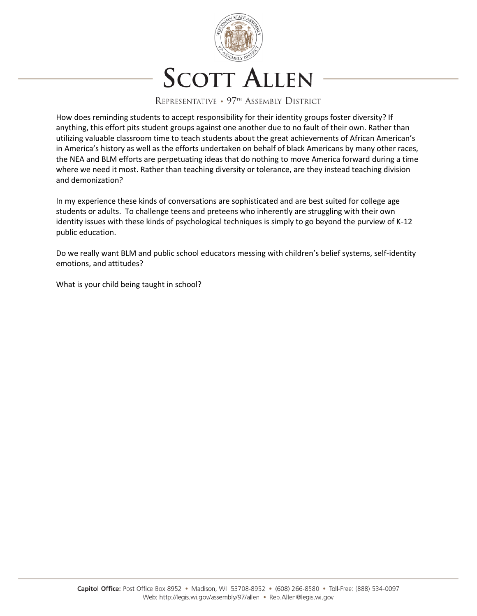

How does reminding students to accept responsibility for their identity groups foster diversity? If anything, this effort pits student groups against one another due to no fault of their own. Rather than utilizing valuable classroom time to teach students about the great achievements of African American's in America's history as well as the efforts undertaken on behalf of black Americans by many other races, the NEA and BLM efforts are perpetuating ideas that do nothing to move America forward during a time where we need it most. Rather than teaching diversity or tolerance, are they instead teaching division and demonization?

In my experience these kinds of conversations are sophisticated and are best suited for college age students or adults. To challenge teens and preteens who inherently are struggling with their own identity issues with these kinds of psychological techniques is simply to go beyond the purview of K-12 public education.

Do we really want BLM and public school educators messing with children's belief systems, self-identity emotions, and attitudes?

What is your child being taught in school?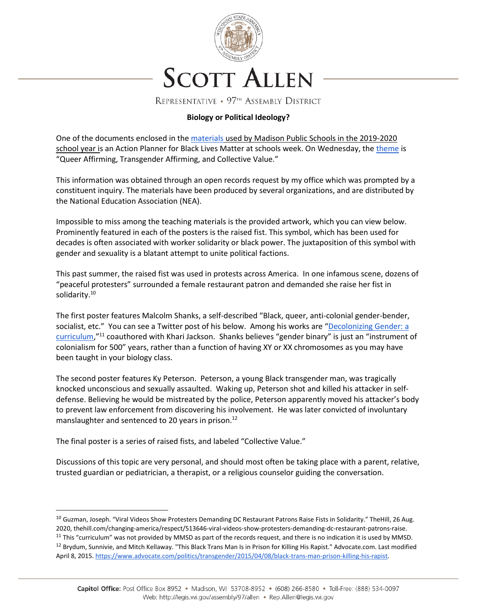

# **Biology or Political Ideology?**

One of the documents enclosed in the materials [used by Madison Public Schools in the 2019-2020](https://drive.google.com/drive/u/0/folders/1LGslwJwhXvpVnDgw0uC-n794l6EGzpuH)  [school year is](https://drive.google.com/drive/u/0/folders/1LGslwJwhXvpVnDgw0uC-n794l6EGzpuH) an Action Planner for Black Lives Matter at schools week. On Wednesday, the [theme](https://docs.google.com/document/d/1UT8kMI_kjw4mxECbKLWg2W8U9Mfc77yJq_iwB49tfVE/edit) is "Queer Affirming, Transgender Affirming, and Collective Value."

This information was obtained through an open records request by my office which was prompted by a constituent inquiry. The materials have been produced by several organizations, and are distributed by the National Education Association (NEA).

Impossible to miss among the teaching materials is the provided artwork, which you can view below. Prominently featured in each of the posters is the raised fist. This symbol, which has been used for decades is often associated with worker solidarity or black power. The juxtaposition of this symbol with gender and sexuality is a blatant attempt to unite political factions.

This past summer, the raised fist was used in protests across America. In one infamous scene, dozens of "peaceful protesters" surrounded a female restaurant patron and demanded she raise her fist in solidarity.<sup>10</sup>

The first poster features Malcolm Shanks, a self-described "Black, queer, anti-colonial gender-bender, socialist, etc." You can see a Twitter post of his below. Among his works are "[Decolonizing Gender: a](https://issuu.com/malcolm.shanks/docs/decolonzing_gender_zine)  [curriculum](https://issuu.com/malcolm.shanks/docs/decolonzing_gender_zine),"<sup>11</sup> coauthored with Khari Jackson. Shanks believes "gender binary" is just an "instrument of colonialism for 500" years, rather than a function of having XY or XX chromosomes as you may have been taught in your biology class.

The second poster features Ky Peterson. Peterson, a young Black transgender man, was tragically knocked unconscious and sexually assaulted. Waking up, Peterson shot and killed his attacker in selfdefense. Believing he would be mistreated by the police, Peterson apparently moved his attacker's body to prevent law enforcement from discovering his involvement. He was later convicted of involuntary manslaughter and sentenced to 20 years in prison.<sup>12</sup>

The final poster is a series of raised fists, and labeled "Collective Value."

 $\overline{\phantom{a}}$ 

Discussions of this topic are very personal, and should most often be taking place with a parent, relative, trusted guardian or pediatrician, a therapist, or a religious counselor guiding the conversation.

<sup>&</sup>lt;sup>10</sup> Guzman, Joseph. "Viral Videos Show Protesters Demanding DC Restaurant Patrons Raise Fists in Solidarity." TheHill, 26 Aug. 2020, thehill.com/changing-america/respect/513646-viral-videos-show-protesters-demanding-dc-restaurant-patrons-raise. <sup>11</sup> This "curriculum" was not provided by MMSD as part of the records request, and there is no indication it is used by MMSD. <sup>12</sup> Brydum, Sunnivie, and Mitch Kellaway. "This Black Trans Man Is in Prison for Killing His Rapist." Advocate.com. Last modified April 8, 2015[. https://www.advocate.com/politics/transgender/2015/04/08/black-trans-man-prison-killing-his-rapist.](https://www.advocate.com/politics/transgender/2015/04/08/black-trans-man-prison-killing-his-rapist)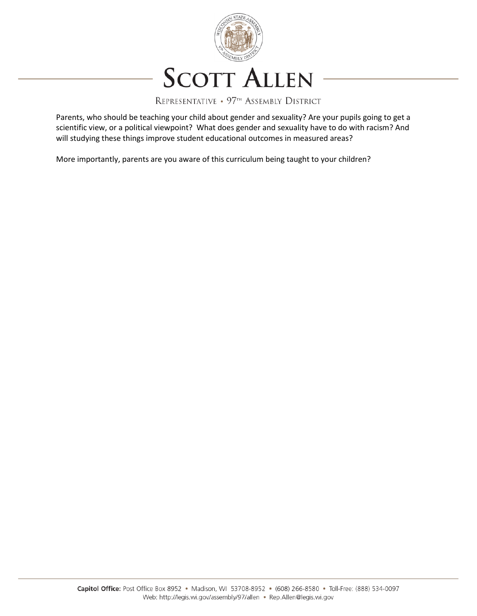

Parents, who should be teaching your child about gender and sexuality? Are your pupils going to get a scientific view, or a political viewpoint? What does gender and sexuality have to do with racism? And will studying these things improve student educational outcomes in measured areas?

More importantly, parents are you aware of this curriculum being taught to your children?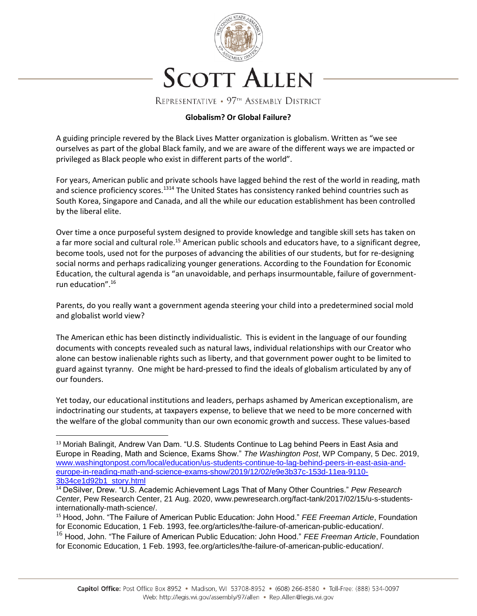

### **Globalism? Or Global Failure?**

A guiding principle revered by the Black Lives Matter organization is globalism. Written as "we see ourselves as part of the global Black family, and we are aware of the different ways we are impacted or privileged as Black people who exist in different parts of the world".

For years, American public and private schools have lagged behind the rest of the world in reading, math and science proficiency scores.<sup>1314</sup> The United States has consistency ranked behind countries such as South Korea, Singapore and Canada, and all the while our education establishment has been controlled by the liberal elite.

Over time a once purposeful system designed to provide knowledge and tangible skill sets has taken on a far more social and cultural role.<sup>15</sup> American public schools and educators have, to a significant degree, become tools, used not for the purposes of advancing the abilities of our students, but for re-designing social norms and perhaps radicalizing younger generations. According to the Foundation for Economic Education, the cultural agenda is "an unavoidable, and perhaps insurmountable, failure of governmentrun education".<sup>16</sup>

Parents, do you really want a government agenda steering your child into a predetermined social mold and globalist world view?

The American ethic has been distinctly individualistic. This is evident in the language of our founding documents with concepts revealed such as natural laws, individual relationships with our Creator who alone can bestow inalienable rights such as liberty, and that government power ought to be limited to guard against tyranny. One might be hard-pressed to find the ideals of globalism articulated by any of our founders.

Yet today, our educational institutions and leaders, perhaps ashamed by American exceptionalism, are indoctrinating our students, at taxpayers expense, to believe that we need to be more concerned with the welfare of the global community than our own economic growth and success. These values-based

l

<sup>&</sup>lt;sup>13</sup> Moriah Balingit, Andrew Van Dam. "U.S. Students Continue to Lag behind Peers in East Asia and Europe in Reading, Math and Science, Exams Show." *The Washington Post*, WP Company, 5 Dec. 2019, [www.washingtonpost.com/local/education/us-students-continue-to-lag-behind-peers-in-east-asia-and](http://www.washingtonpost.com/local/education/us-students-continue-to-lag-behind-peers-in-east-asia-and-europe-in-reading-math-and-science-exams-show/2019/12/02/e9e3b37c-153d-11ea-9110-3b34ce1d92b1_story.html)[europe-in-reading-math-and-science-exams-show/2019/12/02/e9e3b37c-153d-11ea-9110-](http://www.washingtonpost.com/local/education/us-students-continue-to-lag-behind-peers-in-east-asia-and-europe-in-reading-math-and-science-exams-show/2019/12/02/e9e3b37c-153d-11ea-9110-3b34ce1d92b1_story.html) [3b34ce1d92b1\\_story.html](http://www.washingtonpost.com/local/education/us-students-continue-to-lag-behind-peers-in-east-asia-and-europe-in-reading-math-and-science-exams-show/2019/12/02/e9e3b37c-153d-11ea-9110-3b34ce1d92b1_story.html)

<sup>14</sup> DeSilver, Drew. "U.S. Academic Achievement Lags That of Many Other Countries." *Pew Research Center*, Pew Research Center, 21 Aug. 2020, www.pewresearch.org/fact-tank/2017/02/15/u-s-studentsinternationally-math-science/.

<sup>15</sup> Hood, John. "The Failure of American Public Education: John Hood." *FEE Freeman Article*, Foundation for Economic Education, 1 Feb. 1993, fee.org/articles/the-failure-of-american-public-education/.

<sup>16</sup> Hood, John. "The Failure of American Public Education: John Hood." *FEE Freeman Article*, Foundation for Economic Education, 1 Feb. 1993, fee.org/articles/the-failure-of-american-public-education/.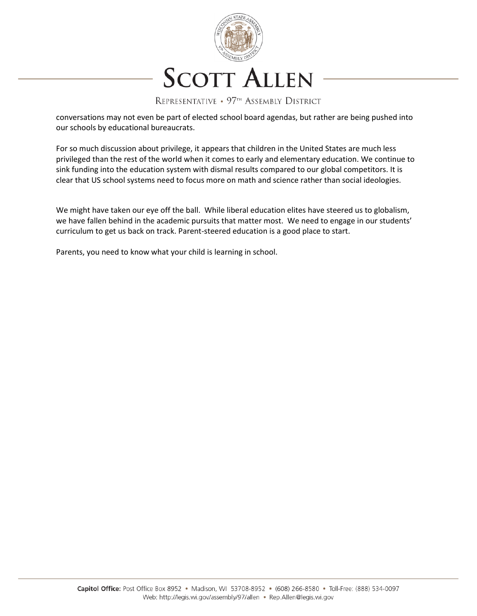

REPRESENTATIVE • 97<sup>TH</sup> ASSEMBLY DISTRICT

conversations may not even be part of elected school board agendas, but rather are being pushed into our schools by educational bureaucrats.

For so much discussion about privilege, it appears that children in the United States are much less privileged than the rest of the world when it comes to early and elementary education. We continue to sink funding into the education system with dismal results compared to our global competitors. It is clear that US school systems need to focus more on math and science rather than social ideologies.

We might have taken our eye off the ball. While liberal education elites have steered us to globalism, we have fallen behind in the academic pursuits that matter most. We need to engage in our students' curriculum to get us back on track. Parent-steered education is a good place to start.

Parents, you need to know what your child is learning in school.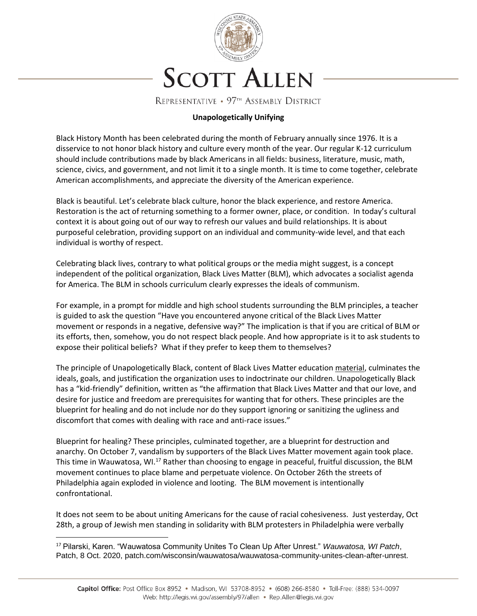

### **Unapologetically Unifying**

Black History Month has been celebrated during the month of February annually since 1976. It is a disservice to not honor black history and culture every month of the year. Our regular K-12 curriculum should include contributions made by black Americans in all fields: business, literature, music, math, science, civics, and government, and not limit it to a single month. It is time to come together, celebrate American accomplishments, and appreciate the diversity of the American experience.

Black is beautiful. Let's celebrate black culture, honor the black experience, and restore America. Restoration is the act of returning something to a former owner, place, or condition. In today's cultural context it is about going out of our way to refresh our values and build relationships. It is about purposeful celebration, providing support on an individual and community-wide level, and that each individual is worthy of respect.

Celebrating black lives, contrary to what political groups or the media might suggest, is a concept independent of the political organization, Black Lives Matter (BLM), which advocates a socialist agenda for America. The BLM in schools curriculum clearly expresses the ideals of communism.

For example, in a prompt for middle and high school students surrounding the BLM principles, a teacher is guided to ask the question "Have you encountered anyone critical of the Black Lives Matter movement or responds in a negative, defensive way?" The implication is that if you are critical of BLM or its efforts, then, somehow, you do not respect black people. And how appropriate is it to ask students to expose their political beliefs? What if they prefer to keep them to themselves?

The principle of Unapologetically Black, content of Black Lives Matter education [material,](https://drive.google.com/drive/u/0/folders/1LGslwJwhXvpVnDgw0uC-n794l6EGzpuH) culminates the ideals, goals, and justification the organization uses to indoctrinate our children. Unapologetically Black has a "kid-friendly" definition, written as "the affirmation that Black Lives Matter and that our love, and desire for justice and freedom are prerequisites for wanting that for others. These principles are the blueprint for healing and do not include nor do they support ignoring or sanitizing the ugliness and discomfort that comes with dealing with race and anti-race issues."

Blueprint for healing? These principles, culminated together, are a blueprint for destruction and anarchy. On October 7, vandalism by supporters of the Black Lives Matter movement again took place. This time in Wauwatosa, WI.<sup>17</sup> Rather than choosing to engage in peaceful, fruitful discussion, the BLM movement continues to place blame and perpetuate violence. On October 26th the streets of Philadelphia again exploded in violence and looting. The BLM movement is intentionally confrontational.

It does not seem to be about uniting Americans for the cause of racial cohesiveness. Just yesterday, Oct 28th, a group of Jewish men standing in solidarity with BLM protesters in Philadelphia were verbally

l

<sup>17</sup> Pilarski, Karen. "Wauwatosa Community Unites To Clean Up After Unrest." *Wauwatosa, WI Patch*, Patch, 8 Oct. 2020, patch.com/wisconsin/wauwatosa/wauwatosa-community-unites-clean-after-unrest.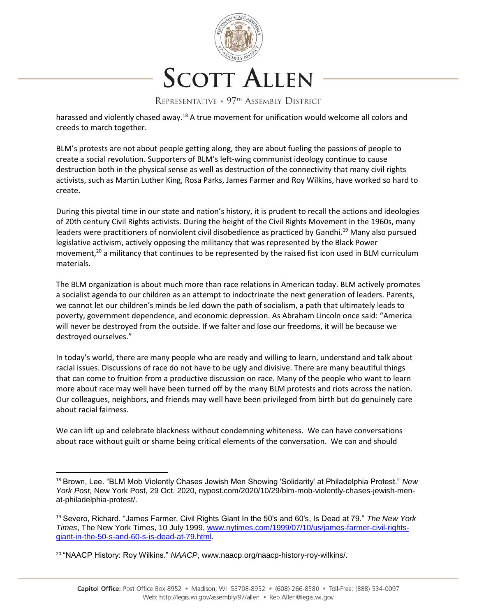

harassed and violently chased away.<sup>18</sup> A true movement for unification would welcome all colors and creeds to march together.

BLM's protests are not about people getting along, they are about fueling the passions of people to create a social revolution. Supporters of BLM's left-wing communist ideology continue to cause destruction both in the physical sense as well as destruction of the connectivity that many civil rights activists, such as Martin Luther King, Rosa Parks, James Farmer and Roy Wilkins, have worked so hard to create.

During this pivotal time in our state and nation's history, it is prudent to recall the actions and ideologies of 20th century Civil Rights activists. During the height of the Civil Rights Movement in the 1960s, many leaders were practitioners of nonviolent civil disobedience as practiced by Gandhi.<sup>19</sup> Many also pursued legislative activism, actively opposing the militancy that was represented by the Black Power movement, $20$  a militancy that continues to be represented by the raised fist icon used in BLM curriculum materials.

The BLM organization is about much more than race relations in American today. BLM actively promotes a socialist agenda to our children as an attempt to indoctrinate the next generation of leaders. Parents, we cannot let our children's minds be led down the path of socialism, a path that ultimately leads to poverty, government dependence, and economic depression. As Abraham Lincoln once said: "America will never be destroyed from the outside. If we falter and lose our freedoms, it will be because we destroyed ourselves."

In today's world, there are many people who are ready and willing to learn, understand and talk about racial issues. Discussions of race do not have to be ugly and divisive. There are many beautiful things that can come to fruition from a productive discussion on race. Many of the people who want to learn more about race may well have been turned off by the many BLM protests and riots across the nation. Our colleagues, neighbors, and friends may well have been privileged from birth but do genuinely care about racial fairness.

We can lift up and celebrate blackness without condemning whiteness. We can have conversations about race without guilt or shame being critical elements of the conversation. We can and should

 $\overline{a}$ 

<sup>18</sup> Brown, Lee. "BLM Mob Violently Chases Jewish Men Showing 'Solidarity' at Philadelphia Protest." *New York Post*, New York Post, 29 Oct. 2020, nypost.com/2020/10/29/blm-mob-violently-chases-jewish-menat-philadelphia-protest/.

<sup>19</sup> Severo, Richard. "James Farmer, Civil Rights Giant In the 50's and 60's, Is Dead at 79." *The New York Times*, The New York Times, 10 July 1999, [www.nytimes.com/1999/07/10/us/james-farmer-civil-rights](http://www.nytimes.com/1999/07/10/us/james-farmer-civil-rights-giant-in-the-50-s-and-60-s-is-dead-at-79.html)[giant-in-the-50-s-and-60-s-is-dead-at-79.html.](http://www.nytimes.com/1999/07/10/us/james-farmer-civil-rights-giant-in-the-50-s-and-60-s-is-dead-at-79.html)

<sup>20</sup> "NAACP History: Roy Wilkins." *NAACP*, www.naacp.org/naacp-history-roy-wilkins/.